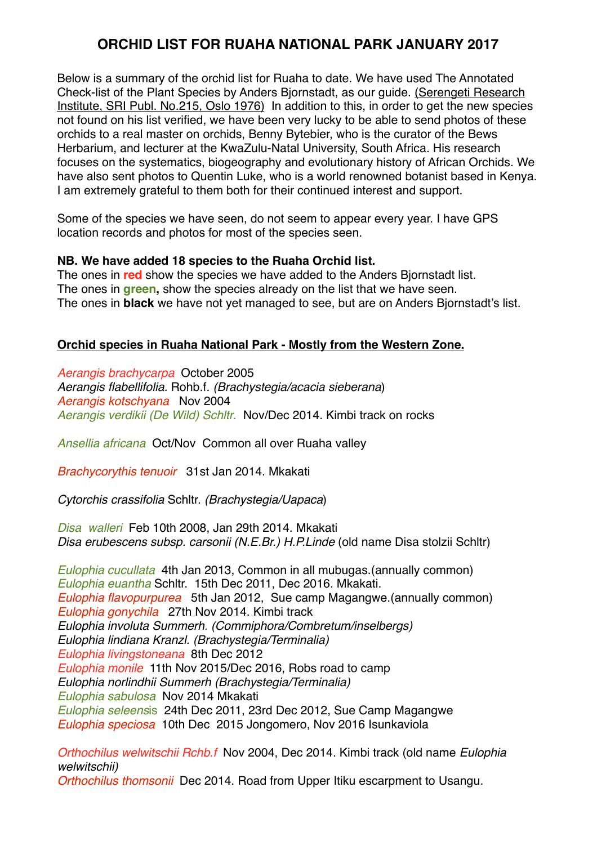# **ORCHID LIST FOR RUAHA NATIONAL PARK JANUARY 2017**

Below is a summary of the orchid list for Ruaha to date. We have used The Annotated Check-list of the Plant Species by Anders Bjornstadt, as our guide. (Serengeti Research Institute, SRI Publ. No.215, Oslo 1976) In addition to this, in order to get the new species not found on his list verified, we have been very lucky to be able to send photos of these orchids to a real master on orchids, Benny Bytebier, who is the curator of the Bews Herbarium, and lecturer at the KwaZulu-Natal University, South Africa. His research focuses on the systematics, biogeography and evolutionary history of African Orchids. We have also sent photos to Quentin Luke, who is a world renowned botanist based in Kenya. I am extremely grateful to them both for their continued interest and support.

Some of the species we have seen, do not seem to appear every year. I have GPS location records and photos for most of the species seen.

#### **NB. We have added 18 species to the Ruaha Orchid list.**

The ones in **red** show the species we have added to the Anders Bjornstadt list. The ones in **green,** show the species already on the list that we have seen. The ones in **black** we have not yet managed to see, but are on Anders Bjornstadt's list.

### **Orchid species in Ruaha National Park - Mostly from the Western Zone.**

*Aerangis brachycarpa* October 2005 *Aerangis flabellifolia.* Rohb.f. *(Brachystegia/acacia sieberana*) *Aerangis kotschyana* Nov 2004 *Aerangis verdikii (De Wild) Schltr*. Nov/Dec 2014. Kimbi track on rocks

*Ansellia africana* Oct/Nov Common all over Ruaha valley

*Brachycorythis tenuoir* 31st Jan 2014. Mkakati

*Cytorchis crassifolia* Schltr. *(Brachystegia/Uapaca*)

*Disa walleri* Feb 10th 2008, Jan 29th 2014. Mkakati *Disa erubescens subsp. carsonii (N.E.Br.) H.P.Linde* (old name Disa stolzii Schltr)

*Eulophia cucullata* 4th Jan 2013, Common in all mubugas.(annually common) *Eulophia euantha* Schltr. 15th Dec 2011, Dec 2016. Mkakati. *Eulophia flavopurpurea* 5th Jan 2012, Sue camp Magangwe.(annually common) *Eulophia gonychila* 27th Nov 2014. Kimbi track *Eulophia involuta Summerh. (Commiphora/Combretum/inselbergs) Eulophia lindiana Kranzl. (Brachystegia/Terminalia) Eulophia livingstoneana* 8th Dec 2012 *Eulophia monile* 11th Nov 2015/Dec 2016, Robs road to camp *Eulophia norlindhii Summerh (Brachystegia/Terminalia) Eulophia sabulosa* Nov 2014 Mkakati *Eulophia seleens*is 24th Dec 2011, 23rd Dec 2012, Sue Camp Magangwe *Eulophia speciosa* 10th Dec 2015 Jongomero, Nov 2016 Isunkaviola

*Orthochilus welwitschii Rchb.f* Nov 2004, Dec 2014. Kimbi track (old name *Eulophia welwitschii)*

*Orthochilus thomsonii* Dec 2014. Road from Upper Itiku escarpment to Usangu.